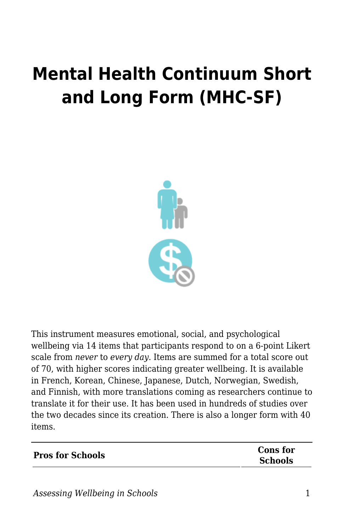## **Mental Health Continuum Short and Long Form (MHC-SF)**



This instrument measures emotional, social, and psychological wellbeing via 14 items that participants respond to on a 6-point Likert scale from *never* to *every day*. Items are summed for a total score out of 70, with higher scores indicating greater wellbeing. It is available in French, Korean, Chinese, Japanese, Dutch, Norwegian, Swedish, and Finnish, with more translations coming as researchers continue to translate it for their use. It has been used in hundreds of studies over the two decades since its creation. There is also a longer form with 40 items.

| <b>Pros for Schools</b> | Cons for       |
|-------------------------|----------------|
|                         | <b>Schools</b> |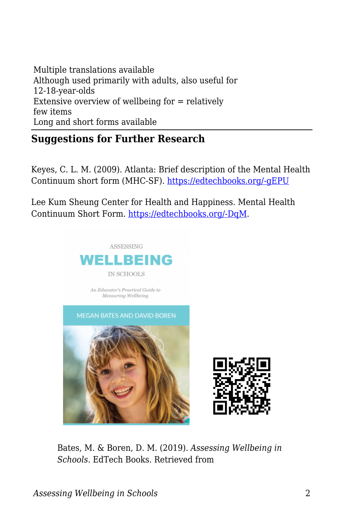Multiple translations available Although used primarily with adults, also useful for 12-18-year-olds Extensive overview of wellbeing for = relatively few items Long and short forms available

## **Suggestions for Further Research**

Keyes, C. L. M. (2009). Atlanta: Brief description of the Mental Health Continuum short form (MHC-SF). [https://edtechbooks.org/-gEPU](http://www.sociology.emory.edu/ckeyes/)

Lee Kum Sheung Center for Health and Happiness. Mental Health Continuum Short Form. [https://edtechbooks.org/-DqM](https://www.hsph.harvard.edu/health-happiness/mental-health-continuum-short-form/).





Bates, M. & Boren, D. M. (2019). *Assessing Wellbeing in Schools*. EdTech Books. Retrieved from

*Assessing Wellbeing in Schools* 2